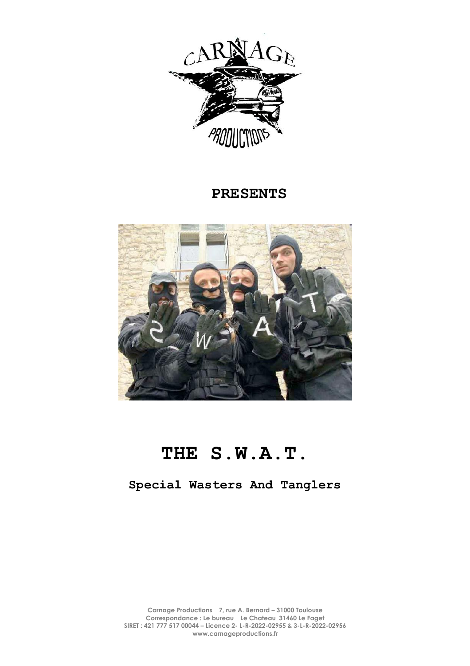

## **PRESENTS**



# **THE S.W.A.T.**

**Special Wasters And Tanglers**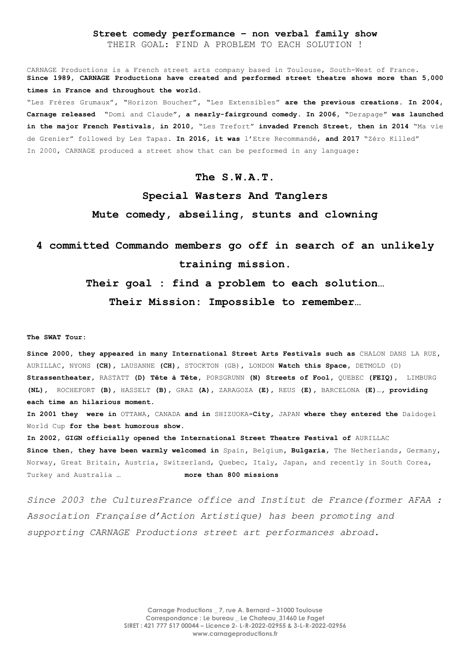#### **Street comedy performance – non verbal family show**

THEIR GOAL: FIND A PROBLEM TO EACH SOLUTION !

CARNAGE Productions is a French street arts company based in Toulouse, South-West of France. **Since 1989, CARNAGE Productions have created and performed street theatre shows more than 5,000 times in France and throughout the world.** "Les Frères Grumaux"**, "**Horizon Boucher"**, "**Les Extensibles" **are the previous creations. In 2004, Carnage released "**Domi and Claude**", a nearly-fairground comedy. In 2006, "**Derapage**" was launched in the major French Festivals, in 2010,** "Les Trefort" **invaded French Street, then in 2014** "Ma vie de Grenier" followed by Les Tapas. **In 2016, it was** l'Etre Recommandé, **and 2017** "Zéro Killed" In 2000, CARNAGE produced a street show that can be performed in any language:

#### **The S.W.A.T.**

# **Special Wasters And Tanglers Mute comedy, abseiling, stunts and clowning**

### **4 committed Commando members go off in search of an unlikely training mission.**

**Their goal : find a problem to each solution…**

**Their Mission: Impossible to remember…**

#### **The SWAT Tour:**

**Since 2000, they appeared in many International Street Arts Festivals such as** CHALON DANS LA RUE**,**  AURILLAC**,** NYONS **(CH),** LAUSANNE **(CH),** STOCKTON (GB)**,** LONDON **Watch this Space,** DETMOLD (D) **Strassentheater,** RASTATT **(D) Tête à Tête,** PORSGRUNN **(N) Streets of Fool,** QUEBEC **(FEIQ),** LIMBURG **(NL),** ROCHEFORT **(B),** HASSELT **(B),** GRAZ **(A),** ZARAGOZA **(E),** REUS **(E),** BARCELONA **(E)…, providing each time an hilarious moment.**

**In 2001 they were in** OTTAWA**,** CANADA **and in** SHIZUOKA**-City,** JAPAN **where they entered the** Daidogei World Cup **for the best humorous show.** 

**In 2002, GIGN officially opened the International Street Theatre Festival of** AURILLAC **Since then, they have been warmly welcomed in** Spain**,** Belgium**, Bulgaria,** The Netherlands**,** Germany**,**  Norway**,** Great Britain**,** Austria**,** Switzerland, Quebec, Italy, Japan, and recently in South Corea, Turkey and Australia **… more than 800 missions** 

*Since 2003 the CulturesFrance office and Institut de France(former AFAA : Association Française d'Action Artistique) has been promoting and supporting CARNAGE Productions street art performances abroad.*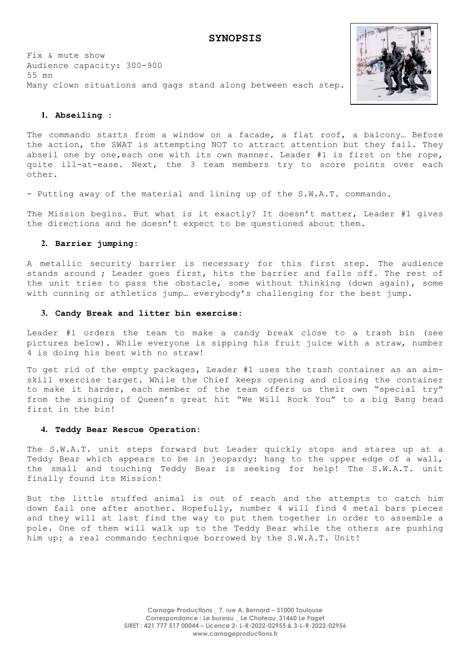Fix & mute show Audience capacity: 300-900 55 mn Many clown situations and gags stand along between each step.



#### **1. Abseiling :**

The commando starts from a window on a facade, a flat roof, a balcony… Before the action, the SWAT is attempting NOT to attract attention but they fail. They abseil one by one,each one with its own manner. Leader #1 is first on the rope, quite ill-at-ease. Next, the 3 team members try to score points over each other.

- Putting away of the material and lining up of the S.W.A.T. commando.

The Mission begins. But what is it exactly? It doesn't matter, Leader #1 gives the directions and he doesn't expect to be questioned about them.

#### **2. Barrier jumping:**

A metallic security barrier is necessary for this first step. The audience stands around ; Leader goes first, hits the barrier and falls off. The rest of the unit tries to pass the obstacle, some without thinking (down again), some with cunning or athletics jump… everybody's challenging for the best jump.

#### **3. Candy Break and litter bin exercise:**

Leader #1 orders the team to make a candy break close to a trash bin (see pictures below). While everyone is sipping his fruit juice with a straw, number 4 is doing his best with no straw!

To get rid of the empty packages, Leader #1 uses the trash container as an aimskill exercise target. While the Chief keeps opening and closing the container to make it harder, each member of the team offers us their own "special try" from the singing of Queen's great hit "We Will Rock You" to a big Bang head first in the bin!

#### **4. Teddy Bear Rescue Operation:**

The S.W.A.T. unit steps forward but Leader quickly stops and stares up at a Teddy Bear which appears to be in jeopardy: hang to the upper edge of a wall, the small and touching Teddy Bear is seeking for help! The S.W.A.T. unit finally found its Mission!

But the little stuffed animal is out of reach and the attempts to catch him down fail one after another. Hopefully, number 4 will find 4 metal bars pieces and they will at last find the way to put them together in order to assemble a pole. One of them will walk up to the Teddy Bear while the others are pushing him up: a real commando technique borrowed by the S.W.A.T. Unit!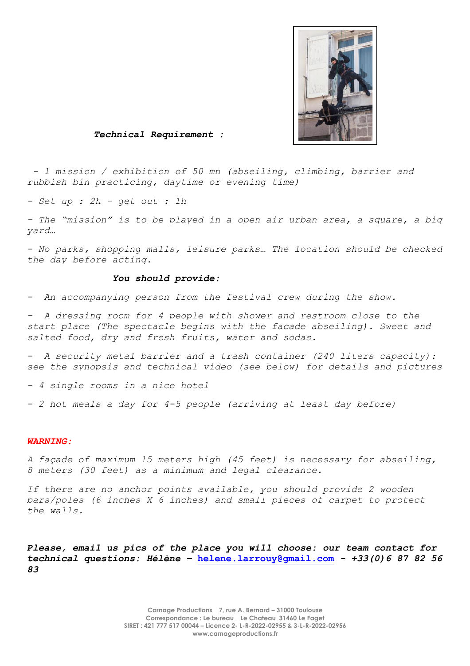

*Technical Requirement :* 

*- 1 mission / exhibition of 50 mn (abseiling, climbing, barrier and rubbish bin practicing, daytime or evening time)* 

*- Set up : 2h – get out : 1h* 

*- The "mission" is to be played in a open air urban area, a square, a big yard…* 

*- No parks, shopping malls, leisure parks… The location should be checked the day before acting.* 

#### *You should provide:*

*- An accompanying person from the festival crew during the show.* 

*- A dressing room for 4 people with shower and restroom close to the start place (The spectacle begins with the facade abseiling). Sweet and salted food, dry and fresh fruits, water and sodas.*

*- A security metal barrier and a trash container (240 liters capacity): see the synopsis and technical video (see below) for details and pictures*

*- 4 single rooms in a nice hotel*

*- 2 hot meals a day for 4-5 people (arriving at least day before)* 

#### *WARNING:*

*A façade of maximum 15 meters high (45 feet) is necessary for abseiling, 8 meters (30 feet) as a minimum and legal clearance.* 

*If there are no anchor points available, you should provide 2 wooden bars/poles (6 inches X 6 inches) and small pieces of carpet to protect the walls.*

*Please, email us pics of the place you will choose: our team contact for technical questions: Hélène –* **helene.larrouy@gmail.com** *- +33(0)6 87 82 56 83*